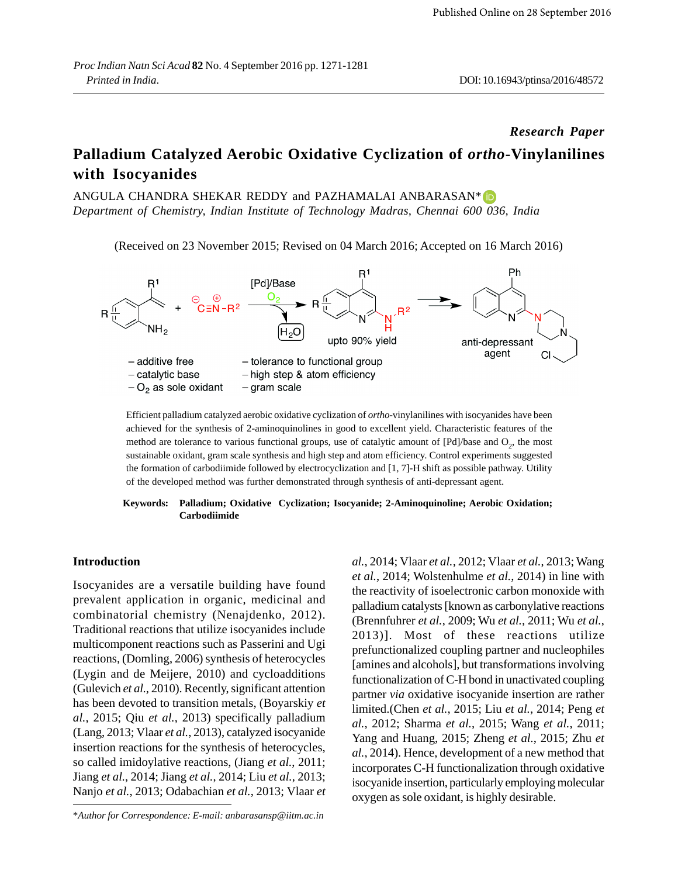## *Research Paper*

# **Palladium Catalyzed Aerobic Oxidative Cyclization of** *ortho***-Vinylanilines with Isocyanides**

ANGULA CHANDRA SHEKAR REDDY and PAZHAMALAI ANBARASAN\* (D *Department of Chemistry, Indian Institute of Technology Madras, Chennai 600 036, India*

(Received on 23 November 2015; Revised on 04 March 2016; Accepted on 16 March 2016)



Efficient palladium catalyzed aerobic oxidative cyclization of *ortho*-vinylanilines with isocyanides have been achieved for the synthesis of 2-aminoquinolines in good to excellent yield. Characteristic features of the method are tolerance to various functional groups, use of catalytic amount of  $[Pd]/base$  and  $O_2$ , the most sustainable oxidant, gram scale synthesis and high step and atom efficiency. Control experiments suggested the formation of carbodiimide followed by electrocyclization and [1, 7]-H shift as possible pathway. Utility of the developed method was further demonstrated through synthesis of anti-depressant agent.

#### **Keywords: Palladium; Oxidative Cyclization; Isocyanide; 2-Aminoquinoline; Aerobic Oxidation; Carbodiimide**

#### **Introduction**

Isocyanides are a versatile building have found prevalent application in organic, medicinal and combinatorial chemistry (Nenajdenko, 2012). Traditional reactions that utilize isocyanides include multicomponent reactions such as Passerini and Ugi reactions, (Domling, 2006) synthesis of heterocycles (Lygin and de Meijere, 2010) and cycloadditions (Gulevich *et al.*, 2010). Recently, significant attention has been devoted to transition metals, (Boyarskiy *et al.*, 2015; Qiu *et al.*, 2013) specifically palladium (Lang, 2013; Vlaar *et al.*, 2013), catalyzed isocyanide insertion reactions for the synthesis of heterocycles, so called imidoylative reactions, (Jiang *et al.*, 2011; Jiang *et al.*, 2014; Jiang *et al.*, 2014; Liu *et al.*, 2013; Nanjo *et al.*, 2013; Odabachian *et al.*, 2013; Vlaar *et*

*al.*, 2014; Vlaar *et al.*, 2012; Vlaar *et al.*, 2013; Wang *et al.*, 2014; Wolstenhulme *et al.*, 2014) in line with the reactivity of isoelectronic carbon monoxide with palladium catalysts [known as carbonylative reactions (Brennfuhrer *et al.*, 2009; Wu *et al.*, 2011; Wu *et al.*, 2013)]. Most of these reactions utilize prefunctionalized coupling partner and nucleophiles [amines and alcohols], but transformations involving functionalization of C-H bond in unactivated coupling partner *via* oxidative isocyanide insertion are rather limited.(Chen *et al.*, 2015; Liu *et al.*, 2014; Peng *et al.*, 2012; Sharma *et al.*, 2015; Wang *et al.*, 2011; Yang and Huang, 2015; Zheng *et al.*, 2015; Zhu *et al.*, 2014). Hence, development of a new method that incorporates C-H functionalization through oxidative isocyanide insertion, particularly employing molecular oxygen as sole oxidant, is highly desirable.

<sup>\*</sup>*Author for Correspondence: E-mail: anbarasansp@iitm.ac.in*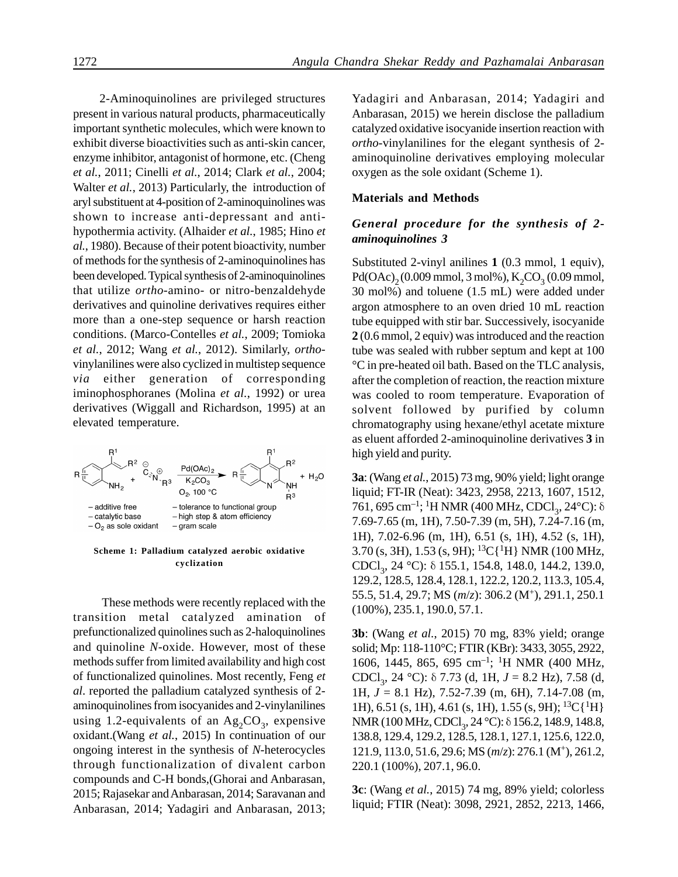2-Aminoquinolines are privileged structures present in various natural products, pharmaceutically important synthetic molecules, which were known to exhibit diverse bioactivities such as anti-skin cancer, enzyme inhibitor, antagonist of hormone, etc. (Cheng *et al.*, 2011; Cinelli *et al.*, 2014; Clark *et al.*, 2004; Walter *et al.*, 2013) Particularly, the introduction of aryl substituent at 4-position of 2-aminoquinolines was shown to increase anti-depressant and antihypothermia activity. (Alhaider *et al.*, 1985; Hino *et al.*, 1980). Because of their potent bioactivity, number of methods for the synthesis of 2-aminoquinolines has been developed. Typical synthesis of 2-aminoquinolines that utilize *ortho*-amino- or nitro-benzaldehyde derivatives and quinoline derivatives requires either more than a one-step sequence or harsh reaction conditions. (Marco-Contelles *et al.*, 2009; Tomioka *et al.*, 2012; Wang *et al.*, 2012). Similarly, *ortho*vinylanilines were also cyclized in multistep sequence *via* either generation of corresponding iminophosphoranes (Molina *et al.*, 1992) or urea derivatives (Wiggall and Richardson, 1995) at an elevated temperature.



**Scheme 1: Palladium catalyzed aerobic oxidative cyclization**

 These methods were recently replaced with the transition metal catalyzed amination of prefunctionalized quinolines such as 2-haloquinolines and quinoline *N*-oxide. However, most of these methods suffer from limited availability and high cost of functionalized quinolines. Most recently, Feng *et al*. reported the palladium catalyzed synthesis of 2 aminoquinolines from isocyanides and 2-vinylanilines using 1.2-equivalents of an  $\text{Ag}_2\text{CO}_3$ , expensive oxidant.(Wang *et al.*, 2015) In continuation of our ongoing interest in the synthesis of *N*-heterocycles through functionalization of divalent carbon compounds and C-H bonds,(Ghorai and Anbarasan, 2015; Rajasekar and Anbarasan, 2014; Saravanan and Anbarasan, 2014; Yadagiri and Anbarasan, 2013;

Yadagiri and Anbarasan, 2014; Yadagiri and Anbarasan, 2015) we herein disclose the palladium catalyzed oxidative isocyanide insertion reaction with *ortho*-vinylanilines for the elegant synthesis of 2 aminoquinoline derivatives employing molecular oxygen as the sole oxidant (Scheme 1).

#### **Materials and Methods**

## *General procedure for the synthesis of 2 aminoquinolines 3*

Substituted 2-vinyl anilines **1** (0.3 mmol, 1 equiv), Pd(OAc)<sub>2</sub>(0.009 mmol, 3 mol%),  $K_2CO_3(0.09$  mmol, 30 mol%) and toluene (1.5 mL) were added under argon atmosphere to an oven dried 10 mL reaction tube equipped with stir bar. Successively, isocyanide **2** (0.6 mmol, 2 equiv) was introduced and the reaction tube was sealed with rubber septum and kept at 100 °C in pre-heated oil bath. Based on the TLC analysis, after the completion of reaction, the reaction mixture was cooled to room temperature. Evaporation of solvent followed by purified by column chromatography using hexane/ethyl acetate mixture as eluent afforded 2-aminoquinoline derivatives **3** in high yield and purity.

**3a**: (Wang *et al.*, 2015) 73 mg, 90% yield; light orange liquid; FT-IR (Neat): 3423, 2958, 2213, 1607, 1512, 761, 695 cm<sup>-1</sup>; <sup>1</sup>H NMR (400 MHz, CDCl<sub>3</sub>, 24°C): δ 7.69-7.65 (m, 1H), 7.50-7.39 (m, 5H), 7.24-7.16 (m, 1H), 7.02-6.96 (m, 1H), 6.51 (s, 1H), 4.52 (s, 1H), 3.70 (s, 3H), 1.53 (s, 9H);  ${}^{13}C[{^1}H]$  NMR (100 MHz, CDCl<sub>3</sub>, 24 °C): δ 155.1, 154.8, 148.0, 144.2, 139.0, 129.2, 128.5, 128.4, 128.1, 122.2, 120.2, 113.3, 105.4, 55.5, 51.4, 29.7; MS (*m*/*z*): 306.2 (M<sup>+</sup> ), 291.1, 250.1 (100%), 235.1, 190.0, 57.1.

**3b**: (Wang *et al.*, 2015) 70 mg, 83% yield; orange solid; Mp: 118-110°C; FTIR (KBr): 3433, 3055, 2922, 1606, 1445, 865, 695 cm–1; 1H NMR (400 MHz, CDCl<sub>3</sub>, 24 °C): δ 7.73 (d, 1H, *J* = 8.2 Hz), 7.58 (d, 1H, *J* = 8.1 Hz), 7.52-7.39 (m, 6H), 7.14-7.08 (m, 1H), 6.51 (s, 1H), 4.61 (s, 1H), 1.55 (s, 9H);  ${}^{13}C[{^1}H]$ NMR (100 MHz, CDCl<sub>3</sub>, 24 °C): δ 156.2, 148.9, 148.8, 138.8, 129.4, 129.2, 128.5, 128.1, 127.1, 125.6, 122.0, 121.9, 113.0, 51.6, 29.6; MS (*m*/*z*): 276.1 (M<sup>+</sup> ), 261.2, 220.1 (100%), 207.1, 96.0.

**3c**: (Wang *et al.*, 2015) 74 mg, 89% yield; colorless liquid; FTIR (Neat): 3098, 2921, 2852, 2213, 1466,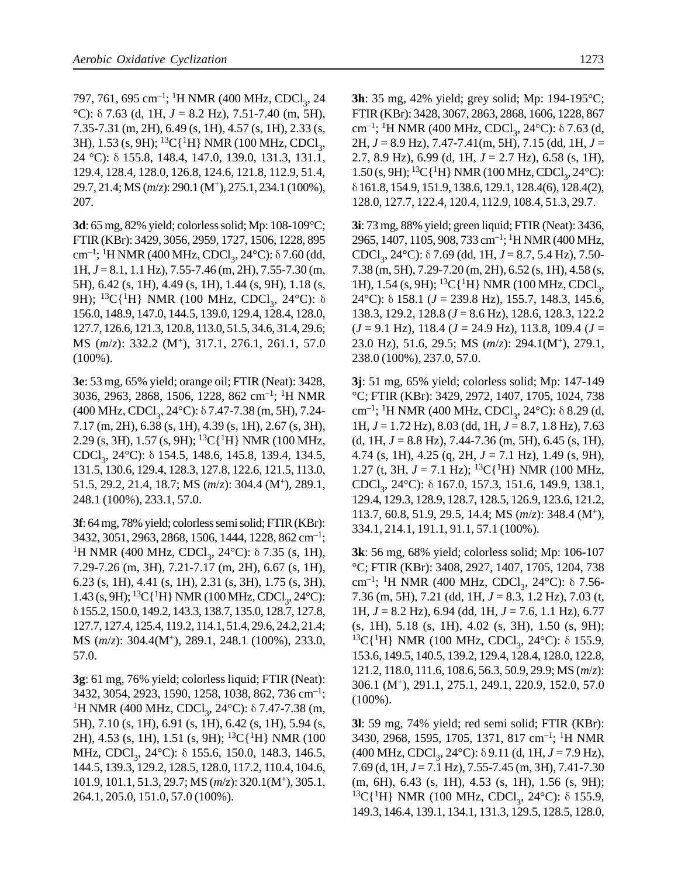797, 761, 695 cm<sup>-1</sup>; <sup>1</sup>H NMR (400 MHz, CDCl<sub>3</sub>, 24 <sup>°</sup>C): δ 7.63 (d, 1H,  $J = 8.2$  Hz), 7.51-7.40 (m, 5H), 7.35-7.31 (m, 2H), 6.49 (s, 1H), 4.57 (s, 1H), 2.33 (s, 3H), 1.53 (s, 9H); <sup>13</sup>C{<sup>1</sup>H} NMR (100 MHz, CDCl<sub>3</sub>, 24 °C): δ 155.8, 148.4, 147.0, 139.0, 131.3, 131.1, 129.4, 128.4, 128.0, 126.8, 124.6, 121.8, 112.9, 51.4, 29.7, 21.4; MS (*m*/*z*): 290.1 (M<sup>+</sup> ), 275.1, 234.1 (100%), 207.

**3d**: 65 mg, 82% yield; colorless solid; Mp: 108-109°C; FTIR (KBr): 3429, 3056, 2959, 1727, 1506, 1228, 895  $\text{cm}^{-1}$ ; <sup>1</sup>H NMR (400 MHz, CDCl<sub>3</sub>, 24°C): δ 7.60 (dd, 1H, *J* = 8.1, 1.1 Hz), 7.55-7.46 (m, 2H), 7.55-7.30 (m, 5H), 6.42 (s, 1H), 4.49 (s, 1H), 1.44 (s, 9H), 1.18 (s, 9H); <sup>13</sup>C{<sup>1</sup>H} NMR (100 MHz, CDCl<sub>3</sub>, 24°C): δ 156.0, 148.9, 147.0, 144.5, 139.0, 129.4, 128.4, 128.0, 127.7, 126.6, 121.3, 120.8, 113.0, 51.5, 34.6, 31.4, 29.6; MS (*m*/*z*): 332.2 (M<sup>+</sup> ), 317.1, 276.1, 261.1, 57.0 (100%).

**3e**: 53 mg, 65% yield; orange oil; FTIR (Neat): 3428, 3036, 2963, 2868, 1506, 1228, 862 cm–1; <sup>1</sup>H NMR  $(400 \text{ MHz}, \text{CDCl}_3, 24^{\circ}\text{C})$ :  $\delta$  7.47-7.38 (m, 5H), 7.24-7.17 (m, 2H), 6.38 (s, 1H), 4.39 (s, 1H), 2.67 (s, 3H), 2.29 (s, 3H), 1.57 (s, 9H); <sup>13</sup>C{<sup>1</sup>H} NMR (100 MHz, CDCl<sub>3</sub>, 24°C): δ 154.5, 148.6, 145.8, 139.4, 134.5, 131.5, 130.6, 129.4, 128.3, 127.8, 122.6, 121.5, 113.0, 51.5, 29.2, 21.4, 18.7; MS (*m*/*z*): 304.4 (M<sup>+</sup> ), 289.1, 248.1 (100%), 233.1, 57.0.

**3f**: 64 mg, 78% yield; colorless semi solid; FTIR (KBr): 3432, 3051, 2963, 2868, 1506, 1444, 1228, 862 cm–1; <sup>1</sup>H NMR (400 MHz, CDCl<sub>3</sub>, 24°C):  $\delta$  7.35 (s, 1H), 7.29-7.26 (m, 3H), 7.21-7.17 (m, 2H), 6.67 (s, 1H), 6.23 (s, 1H), 4.41 (s, 1H), 2.31 (s, 3H), 1.75 (s, 3H),  $1.43$  (s, 9H); <sup>13</sup>C{<sup>1</sup>H} NMR (100 MHz, CDCl<sub>3</sub>, 24°C): δ 155.2, 150.0, 149.2, 143.3, 138.7, 135.0, 128.7, 127.8, 127.7, 127.4, 125.4, 119.2, 114.1, 51.4, 29.6, 24.2, 21.4; MS (*m*/*z*): 304.4(M<sup>+</sup> ), 289.1, 248.1 (100%), 233.0, 57.0.

**3g**: 61 mg, 76% yield; colorless liquid; FTIR (Neat): 3432, 3054, 2923, 1590, 1258, 1038, 862, 736 cm–1; <sup>1</sup>H NMR (400 MHz, CDCl<sub>3</sub>, 24°C): δ 7.47-7.38 (m, 5H), 7.10 (s, 1H), 6.91 (s, 1H), 6.42 (s, 1H), 5.94 (s, 2H), 4.53 (s, 1H), 1.51 (s, 9H); <sup>13</sup>C{<sup>1</sup>H} NMR (100) MHz, CDCl<sub>3</sub>, 24°C): δ 155.6, 150.0, 148.3, 146.5, 144.5, 139.3, 129.2, 128.5, 128.0, 117.2, 110.4, 104.6, 101.9, 101.1, 51.3, 29.7; MS (*m*/*z*): 320.1(M<sup>+</sup> ), 305.1, 264.1, 205.0, 151.0, 57.0 (100%).

**3h**: 35 mg, 42% yield; grey solid; Mp: 194-195°C; FTIR (KBr): 3428, 3067, 2863, 2868, 1606, 1228, 867 cm<sup>-1</sup>; <sup>1</sup>H NMR (400 MHz, CDCl<sub>3</sub>, 24°C): δ 7.63 (d, 2H, *J* = 8.9 Hz), 7.47-7.41(m, 5H), 7.15 (dd, 1H, *J* = 2.7, 8.9 Hz), 6.99 (d, 1H, *J* = 2.7 Hz), 6.58 (s, 1H),  $1.50$  (s, 9H); <sup>13</sup>C{<sup>1</sup>H} NMR (100 MHz, CDCl<sub>3</sub>, 24°C): δ 161.8, 154.9, 151.9, 138.6, 129.1, 128.4(6), 128.4(2), 128.0, 127.7, 122.4, 120.4, 112.9, 108.4, 51.3, 29.7.

**3i**: 73 mg, 88% yield; green liquid; FTIR (Neat): 3436, 2965, 1407, 1105, 908, 733 cm–1; 1H NMR (400 MHz, CDCl<sub>3</sub>, 24°C): δ 7.69 (dd, 1H, *J* = 8.7, 5.4 Hz), 7.50-7.38 (m, 5H), 7.29-7.20 (m, 2H), 6.52 (s, 1H), 4.58 (s, 1H), 1.54 (s, 9H); <sup>13</sup>C{<sup>1</sup>H} NMR (100 MHz, CDCl<sub>3</sub>, 24°C): δ 158.1 (*J* = 239.8 Hz), 155.7, 148.3, 145.6, 138.3, 129.2, 128.8 (*J* = 8.6 Hz), 128.6, 128.3, 122.2 (*J* = 9.1 Hz), 118.4 (*J* = 24.9 Hz), 113.8, 109.4 (*J* = 23.0 Hz), 51.6, 29.5; MS (*m*/*z*): 294.1(M<sup>+</sup> ), 279.1, 238.0 (100%), 237.0, 57.0.

**3j**: 51 mg, 65% yield; colorless solid; Mp: 147-149 °C; FTIR (KBr): 3429, 2972, 1407, 1705, 1024, 738 cm<sup>-1</sup>; <sup>1</sup>H NMR (400 MHz, CDCl<sub>3</sub>, 24°C): δ 8.29 (d, 1H, *J* = 1.72 Hz), 8.03 (dd, 1H, *J* = 8.7, 1.8 Hz), 7.63 (d, 1H,  $J = 8.8$  Hz), 7.44-7.36 (m, 5H), 6.45 (s, 1H), 4.74 (s, 1H), 4.25 (q, 2H, *J* = 7.1 Hz), 1.49 (s, 9H), 1.27 (t, 3H,  $J = 7.1$  Hz); <sup>13</sup>C{<sup>1</sup>H} NMR (100 MHz, CDCl<sub>3</sub>, 24°C): δ 167.0, 157.3, 151.6, 149.9, 138.1, 129.4, 129.3, 128.9, 128.7, 128.5, 126.9, 123.6, 121.2, 113.7, 60.8, 51.9, 29.5, 14.4; MS (*m*/*z*): 348.4 (M<sup>+</sup> ), 334.1, 214.1, 191.1, 91.1, 57.1 (100%).

**3k**: 56 mg, 68% yield; colorless solid; Mp: 106-107 °C; FTIR (KBr): 3408, 2927, 1407, 1705, 1204, 738 cm<sup>-1</sup>; <sup>1</sup>H NMR (400 MHz, CDCl<sub>3</sub>, 24°C): δ 7.56-7.36 (m, 5H), 7.21 (dd, 1H, *J* = 8.3, 1.2 Hz), 7.03 (t, 1H, *J* = 8.2 Hz), 6.94 (dd, 1H, *J* = 7.6, 1.1 Hz), 6.77 (s, 1H), 5.18 (s, 1H), 4.02 (s, 3H), 1.50 (s, 9H); <sup>13</sup>C{<sup>1</sup>H} NMR (100 MHz, CDCl<sub>3</sub>, 24°C): δ 155.9, 153.6, 149.5, 140.5, 139.2, 129.4, 128.4, 128.0, 122.8, 121.2, 118.0, 111.6, 108.6, 56.3, 50.9, 29.9; MS (*m*/*z*): 306.1 (M<sup>+</sup> ), 291.1, 275.1, 249.1, 220.9, 152.0, 57.0 (100%).

**3l**: 59 mg, 74% yield; red semi solid; FTIR (KBr): 3430, 2968, 1595, 1705, 1371, 817 cm–1; 1H NMR (400 MHz, CDCl<sub>3</sub>, 24°C): δ 9.11 (d, 1H, *J* = 7.9 Hz), 7.69 (d, 1H, *J* = 7.1 Hz), 7.55-7.45 (m, 3H), 7.41-7.30 (m, 6H), 6.43 (s, 1H), 4.53 (s, 1H), 1.56 (s, 9H); <sup>13</sup>C{<sup>1</sup>H} NMR (100 MHz, CDCl<sub>3</sub>, 24°C): δ 155.9, 149.3, 146.4, 139.1, 134.1, 131.3, 129.5, 128.5, 128.0,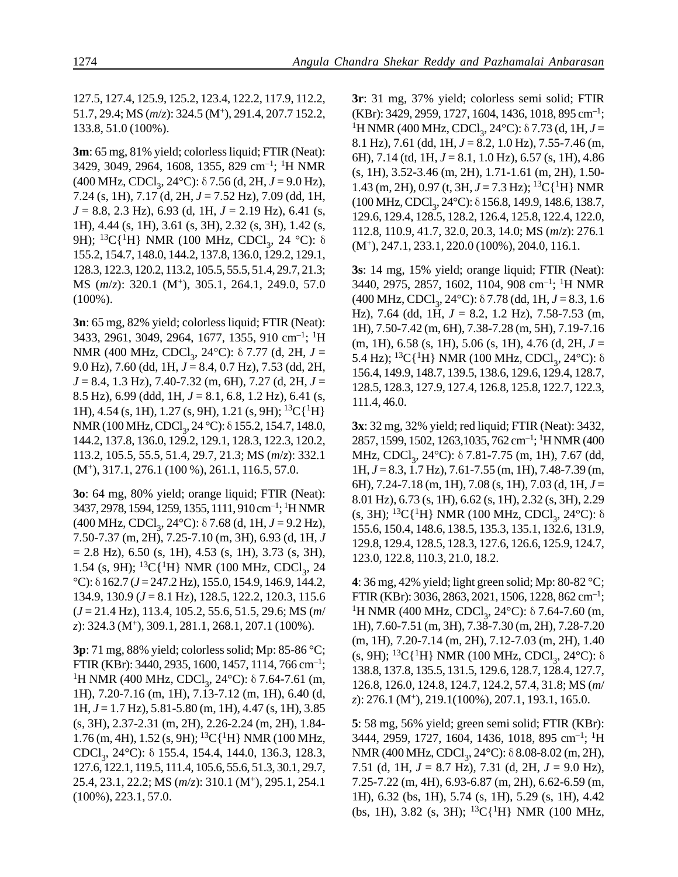127.5, 127.4, 125.9, 125.2, 123.4, 122.2, 117.9, 112.2, 51.7, 29.4; MS (*m*/*z*): 324.5 (M<sup>+</sup> ), 291.4, 207.7 152.2, 133.8, 51.0 (100%).

**3m**: 65 mg, 81% yield; colorless liquid; FTIR (Neat): 3429, 3049, 2964, 1608, 1355, 829 cm–1; 1H NMR (400 MHz, CDCl<sub>3</sub>, 24°C): δ 7.56 (d, 2H, *J* = 9.0 Hz), 7.24 (s, 1H), 7.17 (d, 2H, *J* = 7.52 Hz), 7.09 (dd, 1H, *J* = 8.8, 2.3 Hz), 6.93 (d, 1H, *J* = 2.19 Hz), 6.41 (s, 1H), 4.44 (s, 1H), 3.61 (s, 3H), 2.32 (s, 3H), 1.42 (s, 9H); <sup>13</sup>C{<sup>1</sup>H} NMR (100 MHz, CDCl<sub>3</sub>, 24 °C): δ 155.2, 154.7, 148.0, 144.2, 137.8, 136.0, 129.2, 129.1, 128.3, 122.3, 120.2, 113.2, 105.5, 55.5, 51.4, 29.7, 21.3; MS (*m*/*z*): 320.1 (M<sup>+</sup> ), 305.1, 264.1, 249.0, 57.0 (100%).

**3n**: 65 mg, 82% yield; colorless liquid; FTIR (Neat): 3433, 2961, 3049, 2964, 1677, 1355, 910 cm–1; <sup>1</sup>H NMR (400 MHz, CDCl<sub>3</sub>, 24°C): δ 7.77 (d, 2H, *J* = 9.0 Hz), 7.60 (dd, 1H, *J* = 8.4, 0.7 Hz), 7.53 (dd, 2H, *J* = 8.4, 1.3 Hz), 7.40-7.32 (m, 6H), 7.27 (d, 2H, *J* = 8.5 Hz), 6.99 (ddd, 1H, *J* = 8.1, 6.8, 1.2 Hz), 6.41 (s, 1H), 4.54 (s, 1H), 1.27 (s, 9H), 1.21 (s, 9H);  ${}^{13}C[{^1}H]$ NMR (100 MHz, CDCl<sub>3</sub>, 24 °C): δ 155.2, 154.7, 148.0, 144.2, 137.8, 136.0, 129.2, 129.1, 128.3, 122.3, 120.2, 113.2, 105.5, 55.5, 51.4, 29.7, 21.3; MS (*m*/*z*): 332.1 (M<sup>+</sup> ), 317.1, 276.1 (100 %), 261.1, 116.5, 57.0.

**3o**: 64 mg, 80% yield; orange liquid; FTIR (Neat): 3437, 2978, 1594, 1259, 1355, 1111, 910 cm–1; <sup>1</sup>H NMR (400 MHz, CDCl<sub>3</sub>, 24°C): δ 7.68 (d, 1H, *J* = 9.2 Hz), 7.50-7.37 (m, 2H), 7.25-7.10 (m, 3H), 6.93 (d, 1H, *J*  $= 2.8$  Hz), 6.50 (s, 1H), 4.53 (s, 1H), 3.73 (s, 3H), 1.54 (s, 9H); <sup>13</sup>C{<sup>1</sup>H} NMR (100 MHz, CDCl<sub>3</sub>, 24 °C): δ 162.7 (*J* = 247.2 Hz), 155.0, 154.9, 146.9, 144.2, 134.9, 130.9 (*J* = 8.1 Hz), 128.5, 122.2, 120.3, 115.6 (*J* = 21.4 Hz), 113.4, 105.2, 55.6, 51.5, 29.6; MS (*m*/ *z*): 324.3 (M<sup>+</sup> ), 309.1, 281.1, 268.1, 207.1 (100%).

**3p**: 71 mg, 88% yield; colorless solid; Mp: 85-86 °C; FTIR (KBr): 3440, 2935, 1600, 1457, 1114, 766 cm<sup>-1</sup>; <sup>1</sup>H NMR (400 MHz, CDCl<sub>3</sub>, 24°C): δ 7.64-7.61 (m, 1H), 7.20-7.16 (m, 1H), 7.13-7.12 (m, 1H), 6.40 (d, 1H, *J* = 1.7 Hz), 5.81-5.80 (m, 1H), 4.47 (s, 1H), 3.85 (s, 3H), 2.37-2.31 (m, 2H), 2.26-2.24 (m, 2H), 1.84-  $1.76$  (m, 4H),  $1.52$  (s, 9H);  $^{13}C$ {<sup>1</sup>H} NMR (100 MHz, CDCl<sub>3</sub>, 24°C): δ 155.4, 154.4, 144.0, 136.3, 128.3, 127.6, 122.1, 119.5, 111.4, 105.6, 55.6, 51.3, 30.1, 29.7, 25.4, 23.1, 22.2; MS (*m*/*z*): 310.1 (M<sup>+</sup> ), 295.1, 254.1 (100%), 223.1, 57.0.

**3r**: 31 mg, 37% yield; colorless semi solid; FTIR (KBr): 3429, 2959, 1727, 1604, 1436, 1018, 895 cm–1; <sup>1</sup>H NMR (400 MHz, CDCl<sub>3</sub>, 24°C): δ 7.73 (d, 1H, *J* = 8.1 Hz), 7.61 (dd, 1H, *J* = 8.2, 1.0 Hz), 7.55-7.46 (m, 6H), 7.14 (td, 1H, *J* = 8.1, 1.0 Hz), 6.57 (s, 1H), 4.86 (s, 1H), 3.52-3.46 (m, 2H), 1.71-1.61 (m, 2H), 1.50- 1.43 (m, 2H), 0.97 (t, 3H, *J* = 7.3 Hz); 13C{1H} NMR (100 MHz, CDCl<sub>3</sub>, 24°C):  $\delta$  156.8, 149.9, 148.6, 138.7, 129.6, 129.4, 128.5, 128.2, 126.4, 125.8, 122.4, 122.0, 112.8, 110.9, 41.7, 32.0, 20.3, 14.0; MS (*m*/*z*): 276.1 (M<sup>+</sup> ), 247.1, 233.1, 220.0 (100%), 204.0, 116.1.

**3s**: 14 mg, 15% yield; orange liquid; FTIR (Neat): 3440, 2975, 2857, 1602, 1104, 908 cm–1; 1H NMR (400 MHz, CDCl<sub>3</sub>, 24°C): δ 7.78 (dd, 1H, *J* = 8.3, 1.6 Hz), 7.64 (dd, 1H, *J* = 8.2, 1.2 Hz), 7.58-7.53 (m, 1H), 7.50-7.42 (m, 6H), 7.38-7.28 (m, 5H), 7.19-7.16 (m, 1H), 6.58 (s, 1H), 5.06 (s, 1H), 4.76 (d, 2H, *J* = 5.4 Hz); <sup>13</sup>C{<sup>1</sup>H} NMR (100 MHz, CDCl<sub>3</sub>, 24°C): δ 156.4, 149.9, 148.7, 139.5, 138.6, 129.6, 129.4, 128.7, 128.5, 128.3, 127.9, 127.4, 126.8, 125.8, 122.7, 122.3, 111.4, 46.0.

**3x**: 32 mg, 32% yield; red liquid; FTIR (Neat): 3432, 2857, 1599, 1502, 1263,1035, 762 cm–1; <sup>1</sup>H NMR (400 MHz, CDCl<sub>3</sub>, 24°C): δ 7.81-7.75 (m, 1H), 7.67 (dd, 1H, *J* = 8.3, 1.7 Hz), 7.61-7.55 (m, 1H), 7.48-7.39 (m, 6H), 7.24-7.18 (m, 1H), 7.08 (s, 1H), 7.03 (d, 1H, *J* = 8.01 Hz), 6.73 (s, 1H), 6.62 (s, 1H), 2.32 (s, 3H), 2.29 (s, 3H); <sup>13</sup>C{<sup>1</sup>H} NMR (100 MHz, CDCl<sub>3</sub>, 24°C): δ 155.6, 150.4, 148.6, 138.5, 135.3, 135.1, 132.6, 131.9, 129.8, 129.4, 128.5, 128.3, 127.6, 126.6, 125.9, 124.7, 123.0, 122.8, 110.3, 21.0, 18.2.

**4**: 36 mg, 42% yield; light green solid; Mp: 80-82 °C; FTIR (KBr): 3036, 2863, 2021, 1506, 1228, 862 cm–1; <sup>1</sup>H NMR (400 MHz, CDCl<sub>3</sub>, 24°C): δ 7.64-7.60 (m, 1H), 7.60-7.51 (m, 3H), 7.38-7.30 (m, 2H), 7.28-7.20 (m, 1H), 7.20-7.14 (m, 2H), 7.12-7.03 (m, 2H), 1.40 (s, 9H); <sup>13</sup>C{<sup>1</sup>H} NMR (100 MHz, CDCl<sub>3</sub>, 24°C): δ 138.8, 137.8, 135.5, 131.5, 129.6, 128.7, 128.4, 127.7, 126.8, 126.0, 124.8, 124.7, 124.2, 57.4, 31.8; MS (*m*/ *z*): 276.1 (M<sup>+</sup> ), 219.1(100%), 207.1, 193.1, 165.0.

**5**: 58 mg, 56% yield; green semi solid; FTIR (KBr): 3444, 2959, 1727, 1604, 1436, 1018, 895 cm–1; 1H NMR (400 MHz, CDCl<sub>3</sub>, 24°C): δ 8.08-8.02 (m, 2H), 7.51 (d, 1H, *J* = 8.7 Hz), 7.31 (d, 2H, *J* = 9.0 Hz), 7.25-7.22 (m, 4H), 6.93-6.87 (m, 2H), 6.62-6.59 (m, 1H), 6.32 (bs, 1H), 5.74 (s, 1H), 5.29 (s, 1H), 4.42 (bs, 1H), 3.82 (s, 3H); <sup>13</sup>C{<sup>1</sup>H} NMR (100 MHz,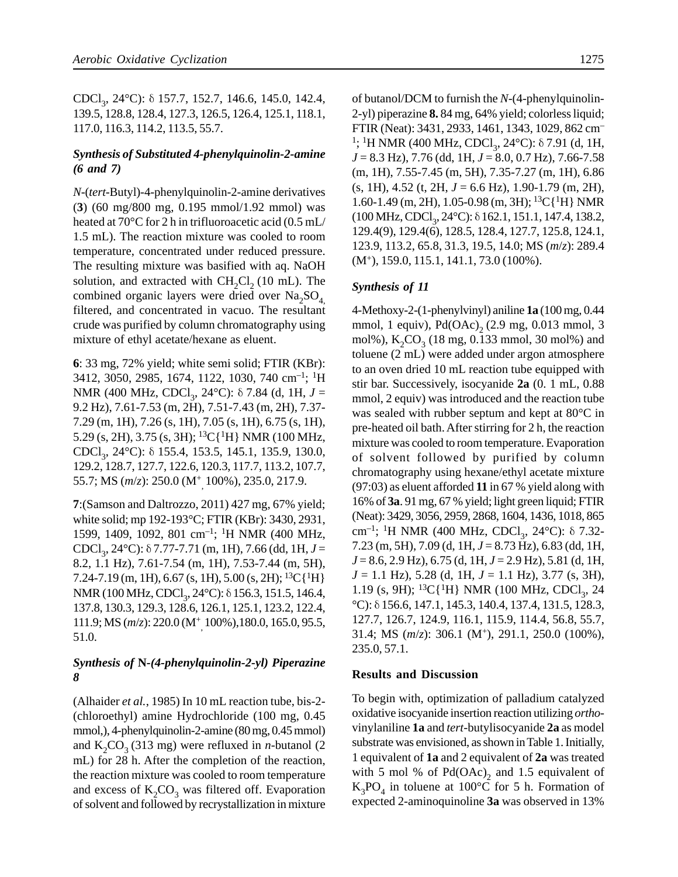CDCl<sub>3</sub>, 24°C): δ 157.7, 152.7, 146.6, 145.0, 142.4, 139.5, 128.8, 128.4, 127.3, 126.5, 126.4, 125.1, 118.1, 117.0, 116.3, 114.2, 113.5, 55.7.

#### *Synthesis of Substituted 4-phenylquinolin-2-amine (6 and 7)*

*N*-(*tert*-Butyl)-4-phenylquinolin-2-amine derivatives (**3**) (60 mg/800 mg, 0.195 mmol/1.92 mmol) was heated at 70°C for 2 h in trifluoroacetic acid (0.5 mL/ 1.5 mL). The reaction mixture was cooled to room temperature, concentrated under reduced pressure. The resulting mixture was basified with aq. NaOH solution, and extracted with  $CH_2Cl_2$  (10 mL). The combined organic layers were dried over  $\text{Na}_2\text{SO}_4$ filtered, and concentrated in vacuo. The resultant crude was purified by column chromatography using mixture of ethyl acetate/hexane as eluent.

**6**: 33 mg, 72% yield; white semi solid; FTIR (KBr): 3412, 3050, 2985, 1674, 1122, 1030, 740 cm–1; <sup>1</sup>H NMR (400 MHz, CDCl<sub>3</sub>, 24°C): δ 7.84 (d, 1H, *J* = 9.2 Hz), 7.61-7.53 (m, 2H), 7.51-7.43 (m, 2H), 7.37- 7.29 (m, 1H), 7.26 (s, 1H), 7.05 (s, 1H), 6.75 (s, 1H), 5.29 (s, 2H), 3.75 (s, 3H); <sup>13</sup>C{<sup>1</sup>H} NMR (100 MHz, CDCl<sub>3</sub>, 24°C): δ 155.4, 153.5, 145.1, 135.9, 130.0, 129.2, 128.7, 127.7, 122.6, 120.3, 117.7, 113.2, 107.7, 55.7; MS (*m*/*z*): 250.0 (M<sup>+</sup> , 100%), 235.0, 217.9.

**7**:(Samson and Daltrozzo, 2011) 427 mg, 67% yield; white solid; mp 192-193°C; FTIR (KBr): 3430, 2931, 1599, 1409, 1092, 801 cm–1; <sup>1</sup>H NMR (400 MHz, CDCl<sub>3</sub>, 24°C): δ 7.77-7.71 (m, 1H), 7.66 (dd, 1H, *J* = 8.2, 1.1 Hz), 7.61-7.54 (m, 1H), 7.53-7.44 (m, 5H), 7.24-7.19 (m, 1H), 6.67 (s, 1H), 5.00 (s, 2H);  ${}^{13}C[{^1}H]$ NMR (100 MHz, CDCl<sub>3</sub>, 24°C): δ 156.3, 151.5, 146.4, 137.8, 130.3, 129.3, 128.6, 126.1, 125.1, 123.2, 122.4, 111.9; MS (*m*/*z*): 220.0 (M<sup>+</sup> , 100%),180.0, 165.0, 95.5, 51.0.

### *Synthesis of* **N***-(4-phenylquinolin-2-yl) Piperazine 8*

(Alhaider *et al.*, 1985) In 10 mL reaction tube, bis-2- (chloroethyl) amine Hydrochloride (100 mg, 0.45 mmol,), 4-phenylquinolin-2-amine (80 mg, 0.45 mmol) and  $K_2CO_3$  (313 mg) were refluxed in *n*-butanol (2) mL) for 28 h. After the completion of the reaction, the reaction mixture was cooled to room temperature and excess of  $K_2CO_3$  was filtered off. Evaporation of solvent and followed by recrystallization in mixture

of butanol/DCM to furnish the *N*-(4-phenylquinolin-2-yl) piperazine **8.** 84 mg, 64% yield; colorless liquid; FTIR (Neat): 3431, 2933, 1461, 1343, 1029, 862 cm– <sup>1</sup>; <sup>1</sup>H NMR (400 MHz, CDCl<sub>3</sub>, 24°C): δ 7.91 (d, 1H, *J* = 8.3 Hz), 7.76 (dd, 1H, *J* = 8.0, 0.7 Hz), 7.66-7.58 (m, 1H), 7.55-7.45 (m, 5H), 7.35-7.27 (m, 1H), 6.86 (s, 1H), 4.52 (t, 2H, *J* = 6.6 Hz), 1.90-1.79 (m, 2H), 1.60-1.49 (m, 2H), 1.05-0.98 (m, 3H);  ${}^{13}C[{^1}H]$  NMR (100 MHz, CDCl<sub>3</sub>, 24°C): δ 162.1, 151.1, 147.4, 138.2, 129.4(9), 129.4(6), 128.5, 128.4, 127.7, 125.8, 124.1, 123.9, 113.2, 65.8, 31.3, 19.5, 14.0; MS (*m*/*z*): 289.4 (M<sup>+</sup> ), 159.0, 115.1, 141.1, 73.0 (100%).

## *Synthesis of 11*

4-Methoxy-2-(1-phenylvinyl) aniline **1a** (100 mg, 0.44 mmol, 1 equiv),  $Pd(OAc)$ ,  $(2.9 \text{ mg}, 0.013 \text{ mmol}, 3$ mol%),  $K_2CO_3$  (18 mg, 0.133 mmol, 30 mol%) and toluene (2 mL) were added under argon atmosphere to an oven dried 10 mL reaction tube equipped with stir bar. Successively, isocyanide **2a** (0. 1 mL, 0.88 mmol, 2 equiv) was introduced and the reaction tube was sealed with rubber septum and kept at 80°C in pre-heated oil bath. After stirring for 2 h, the reaction mixture was cooled to room temperature. Evaporation of solvent followed by purified by column chromatography using hexane/ethyl acetate mixture (97:03) as eluent afforded **11** in 67 % yield along with 16% of **3a**. 91 mg, 67 % yield; light green liquid; FTIR (Neat): 3429, 3056, 2959, 2868, 1604, 1436, 1018, 865 cm<sup>-1</sup>; <sup>1</sup>H NMR (400 MHz, CDCl<sub>3</sub>, 24°C): δ 7.32-7.23 (m, 5H), 7.09 (d, 1H, *J* = 8.73 Hz), 6.83 (dd, 1H, *J* = 8.6, 2.9 Hz), 6.75 (d, 1H, *J* = 2.9 Hz), 5.81 (d, 1H, *J* = 1.1 Hz), 5.28 (d, 1H, *J* = 1.1 Hz), 3.77 (s, 3H), 1.19 (s, 9H); <sup>13</sup>C{<sup>1</sup>H} NMR (100 MHz, CDCl<sub>3</sub>, 24 °C): δ 156.6, 147.1, 145.3, 140.4, 137.4, 131.5, 128.3, 127.7, 126.7, 124.9, 116.1, 115.9, 114.4, 56.8, 55.7, 31.4; MS (*m*/*z*): 306.1 (M<sup>+</sup> ), 291.1, 250.0 (100%), 235.0, 57.1.

#### **Results and Discussion**

To begin with, optimization of palladium catalyzed oxidative isocyanide insertion reaction utilizing *ortho*vinylaniline **1a** and *tert*-butylisocyanide **2a** as model substrate was envisioned, as shown in Table 1. Initially, 1 equivalent of **1a** and 2 equivalent of **2a** was treated with 5 mol % of  $Pd(OAc)_2$  and 1.5 equivalent of  $K_3PO_4$  in toluene at 100°C for 5 h. Formation of expected 2-aminoquinoline **3a** was observed in 13%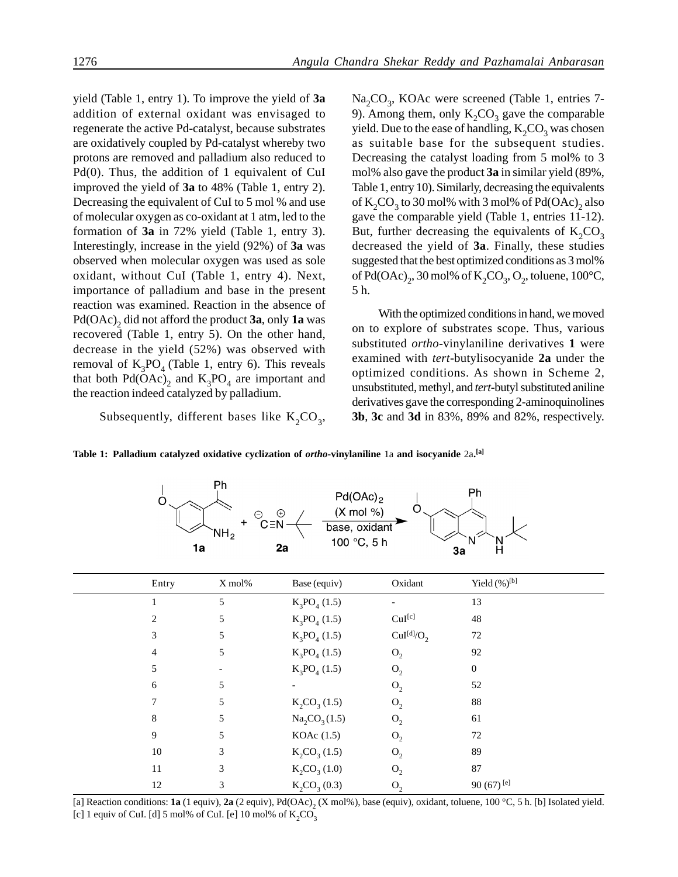yield (Table 1, entry 1). To improve the yield of **3a** addition of external oxidant was envisaged to regenerate the active Pd-catalyst, because substrates are oxidatively coupled by Pd-catalyst whereby two protons are removed and palladium also reduced to Pd(0). Thus, the addition of 1 equivalent of CuI improved the yield of **3a** to 48% (Table 1, entry 2). Decreasing the equivalent of CuI to 5 mol % and use of molecular oxygen as co-oxidant at 1 atm, led to the formation of **3a** in 72% yield (Table 1, entry 3). Interestingly, increase in the yield (92%) of **3a** was observed when molecular oxygen was used as sole oxidant, without CuI (Table 1, entry 4). Next, importance of palladium and base in the present reaction was examined. Reaction in the absence of Pd(OAc)<sub>2</sub> did not afford the product **3a**, only **1a** was recovered (Table 1, entry 5). On the other hand, decrease in the yield (52%) was observed with removal of  $K_3PO_4$  (Table 1, entry 6). This reveals that both  $Pd(OAc)_2$  and  $K_3PO_4$  are important and the reaction indeed catalyzed by palladium.

Subsequently, different bases like  $K_2CO_3$ ,

 $1a$ 

Na<sub>2</sub>CO<sub>3</sub>, KOAc were screened (Table 1, entries 7-9). Among them, only  $K_2CO_3$  gave the comparable yield. Due to the ease of handling,  $\mathrm{K}_2\mathrm{CO}_3$  was chosen as suitable base for the subsequent studies. Decreasing the catalyst loading from 5 mol% to 3 mol% also gave the product **3a** in similar yield (89%, Table 1, entry 10). Similarly, decreasing the equivalents of  $\mathrm{K_2CO}_3$  to 30 mol% with 3 mol% of Pd(OAc)<sub>2</sub> also gave the comparable yield (Table 1, entries 11-12). But, further decreasing the equivalents of  $K_2CO_3$ decreased the yield of **3a**. Finally, these studies suggested that the best optimized conditions as 3 mol% of Pd(OAc)<sub>2</sub>, 30 mol% of K<sub>2</sub>CO<sub>3</sub>, O<sub>2</sub>, toluene, 100°C, 5 h.

With the optimized conditions in hand, we moved on to explore of substrates scope. Thus, various substituted *ortho*-vinylaniline derivatives **1** were examined with *tert*-butylisocyanide **2a** under the optimized conditions. As shown in Scheme 2, unsubstituted, methyl, and *tert*-butyl substituted aniline derivatives gave the corresponding 2-aminoquinolines **3b**, **3c** and **3d** in 83%, 89% and 82%, respectively.

Ph

3a

Table 1: Palladium catalyzed oxidative cyclization of *ortho*-vinylaniline 1a and isocyanide 2a.<sup>[a]</sup>

 $2a$ 

Entry X mol% Base (equiv) Oxidant Yield (%)<sup>[b]</sup> 1 5 K<sub>3</sub>  $PO_4(1.5)$  - 13 2 5 K<sub>3</sub> PO<sub>4</sub> (1.5) CuI<sup>[c]</sup> 48 3 5 K<sub>3</sub>  $K_2PO_4(1.5)$  $CuI<sup>[d]</sup>/O<sub>2</sub>$ 72 4 5 K<sub>3</sub>  $PO_4(1.5)$   $O_2$ 92 5 - K<sub>3</sub>  $PO_4(1.5)$   $O_2$ 0 6 5 -  $O_2$ 52 7 5 K<sub>2</sub>CO<sub>3</sub> (1.5) O<sub>2</sub> 88 8 5  $Na_2CO_3(1.5)$   $O_2$ 61 9 5 KOAc (1.5)  $0,$ 72 10 3  $K_2CO_3(1.5)$   $O_2$ 89 11 3  $K_2CO_3(1.0)$   $O_2$ 87 12 3 K<sub>2</sub>CO<sub>3</sub> (0.3) O<sub>2</sub> 90 (67) [e]

 $\frac{(X \text{ mol } \%)}{\text{base, oxidant}}$ 

[a] Reaction conditions:  $1a$  (1 equiv),  $2a$  (2 equiv),  $Pd(OAc)_2(X \text{ mol}\%)$ , base (equiv), oxidant, toluene,  $100\text{ °C}, 5$  h. [b] Isolated yield. [c] 1 equiv of CuI. [d] 5 mol% of CuI. [e] 10 mol% of  $K_2CO_3$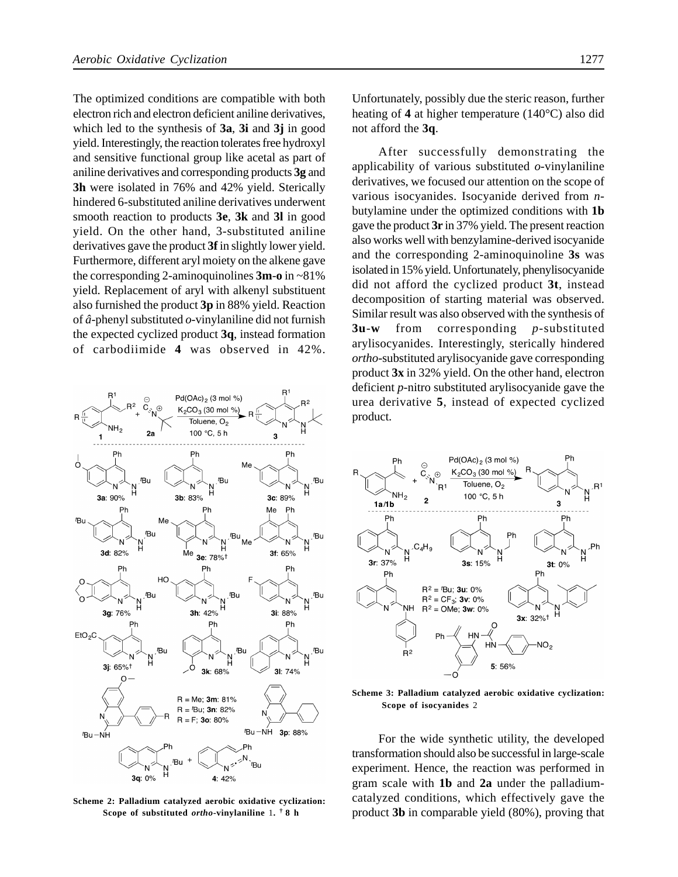The optimized conditions are compatible with both electron rich and electron deficient aniline derivatives, which led to the synthesis of **3a**, **3i** and **3j** in good yield. Interestingly, the reaction tolerates free hydroxyl and sensitive functional group like acetal as part of aniline derivatives and corresponding products **3g** and **3h** were isolated in 76% and 42% yield. Sterically hindered 6-substituted aniline derivatives underwent smooth reaction to products **3e**, **3k** and **3l** in good yield. On the other hand, 3-substituted aniline derivatives gave the product **3f** in slightly lower yield. Furthermore, different aryl moiety on the alkene gave the corresponding 2-aminoquinolines **3m**-**o** in ~81% yield. Replacement of aryl with alkenyl substituent also furnished the product **3p** in 88% yield. Reaction of *â*-phenyl substituted *o*-vinylaniline did not furnish the expected cyclized product **3q**, instead formation of carbodiimide **4** was observed in 42%.



**Scheme 2: Palladium catalyzed aerobic oxidative cyclization: Scope of substituted** *ortho***-vinylaniline** 1**. † 8 h**

Unfortunately, possibly due the steric reason, further heating of **4** at higher temperature (140°C) also did not afford the **3q**.

After successfully demonstrating the applicability of various substituted *o*-vinylaniline derivatives, we focused our attention on the scope of various isocyanides. Isocyanide derived from *n*butylamine under the optimized conditions with **1b** gave the product **3r** in 37% yield. The present reaction also works well with benzylamine-derived isocyanide and the corresponding 2-aminoquinoline **3s** was isolated in 15% yield. Unfortunately, phenylisocyanide did not afford the cyclized product **3t**, instead decomposition of starting material was observed. Similar result was also observed with the synthesis of **3u**-**w** from corresponding *p*-substituted arylisocyanides. Interestingly, sterically hindered *ortho*-substituted arylisocyanide gave corresponding product **3x** in 32% yield. On the other hand, electron deficient *p*-nitro substituted arylisocyanide gave the urea derivative **5**, instead of expected cyclized product.



**Scheme 3: Palladium catalyzed aerobic oxidative cyclization: Scope of isocyanides** 2

For the wide synthetic utility, the developed transformation should also be successful in large-scale experiment. Hence, the reaction was performed in gram scale with **1b** and **2a** under the palladiumcatalyzed conditions, which effectively gave the product **3b** in comparable yield (80%), proving that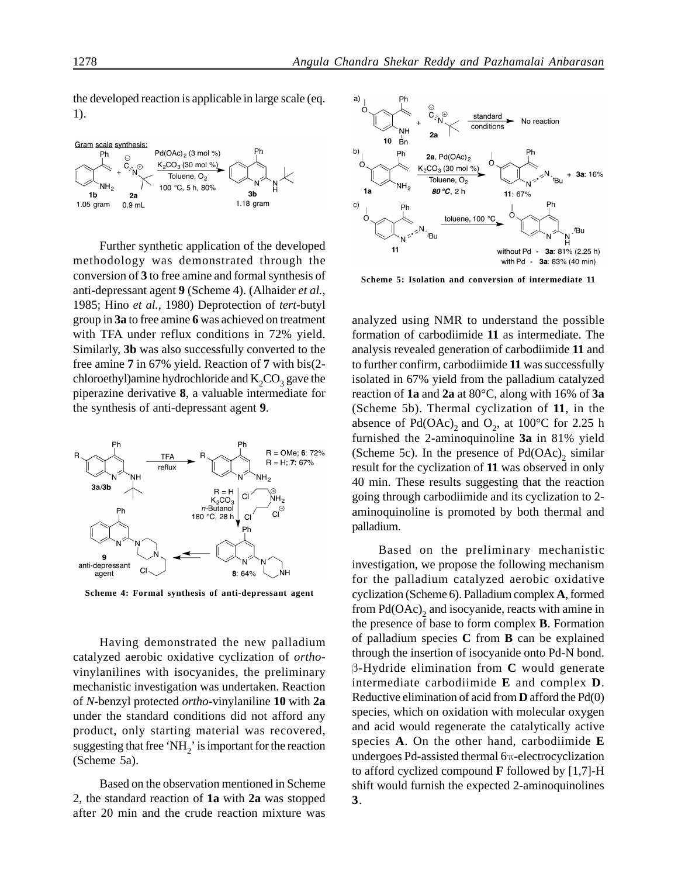the developed reaction is applicable in large scale (eq. 1).



Further synthetic application of the developed methodology was demonstrated through the conversion of **3** to free amine and formal synthesis of anti-depressant agent **9** (Scheme 4). (Alhaider *et al.*, 1985; Hino *et al.*, 1980) Deprotection of *tert*-butyl group in **3a** to free amine **6** was achieved on treatment with TFA under reflux conditions in 72% yield. Similarly, **3b** was also successfully converted to the free amine **7** in 67% yield. Reaction of **7** with bis(2 chloroethyl)amine hydrochloride and  $K_2CO_3$  gave the piperazine derivative **8**, a valuable intermediate for the synthesis of anti-depressant agent **9**.



**Scheme 4: Formal synthesis of anti-depressant agent**

Having demonstrated the new palladium catalyzed aerobic oxidative cyclization of *ortho*vinylanilines with isocyanides, the preliminary mechanistic investigation was undertaken. Reaction of *N*-benzyl protected *ortho*-vinylaniline **10** with **2a** under the standard conditions did not afford any product, only starting material was recovered, suggesting that free 'NH<sub>2</sub>' is important for the reaction (Scheme 5a).

Based on the observation mentioned in Scheme 2, the standard reaction of **1a** with **2a** was stopped after 20 min and the crude reaction mixture was



**Scheme 5: Isolation and conversion of intermediate 11**

analyzed using NMR to understand the possible formation of carbodiimide **11** as intermediate. The analysis revealed generation of carbodiimide **11** and to further confirm, carbodiimide **11** was successfully isolated in 67% yield from the palladium catalyzed reaction of **1a** and **2a** at 80°C, along with 16% of **3a** (Scheme 5b). Thermal cyclization of **11**, in the absence of  $Pd(OAc)_2$  and  $O_2$ , at 100°C for 2.25 h furnished the 2-aminoquinoline **3a** in 81% yield (Scheme 5c). In the presence of  $Pd(OAc)<sub>2</sub>$  similar result for the cyclization of **11** was observed in only 40 min. These results suggesting that the reaction going through carbodiimide and its cyclization to 2 aminoquinoline is promoted by both thermal and palladium.

Based on the preliminary mechanistic investigation, we propose the following mechanism for the palladium catalyzed aerobic oxidative cyclization (Scheme 6). Palladium complex **A**, formed from  $Pd(OAc)<sub>2</sub>$  and isocyanide, reacts with amine in the presence of base to form complex **B**. Formation of palladium species **C** from **B** can be explained through the insertion of isocyanide onto Pd-N bond. β-Hydride elimination from **C** would generate intermediate carbodiimide **E** and complex **D**. Reductive elimination of acid from **D** afford the Pd(0) species, which on oxidation with molecular oxygen and acid would regenerate the catalytically active species **A**. On the other hand, carbodiimide **E** undergoes Pd-assisted thermal 6π-electrocyclization to afford cyclized compound **F** followed by [1,7]-H shift would furnish the expected 2-aminoquinolines **3**.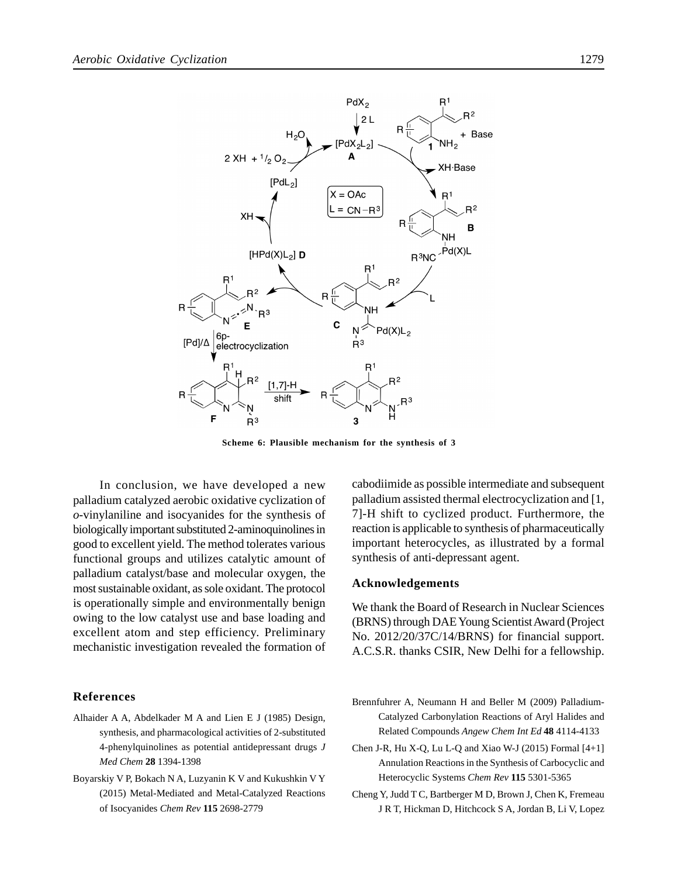

**Scheme 6: Plausible mechanism for the synthesis of 3**

In conclusion, we have developed a new palladium catalyzed aerobic oxidative cyclization of *o*-vinylaniline and isocyanides for the synthesis of biologically important substituted 2-aminoquinolines in good to excellent yield. The method tolerates various functional groups and utilizes catalytic amount of palladium catalyst/base and molecular oxygen, the most sustainable oxidant, as sole oxidant. The protocol is operationally simple and environmentally benign owing to the low catalyst use and base loading and excellent atom and step efficiency. Preliminary mechanistic investigation revealed the formation of

#### **References**

- Alhaider A A, Abdelkader M A and Lien E J (1985) Design, synthesis, and pharmacological activities of 2-substituted 4-phenylquinolines as potential antidepressant drugs *J Med Chem* **28** 1394-1398
- Boyarskiy V P, Bokach N A, Luzyanin K V and Kukushkin V Y (2015) Metal-Mediated and Metal-Catalyzed Reactions of Isocyanides *Chem Rev* **115** 2698-2779

cabodiimide as possible intermediate and subsequent palladium assisted thermal electrocyclization and [1, 7]-H shift to cyclized product. Furthermore, the reaction is applicable to synthesis of pharmaceutically important heterocycles, as illustrated by a formal synthesis of anti-depressant agent.

#### **Acknowledgements**

We thank the Board of Research in Nuclear Sciences (BRNS) through DAE Young Scientist Award (Project No. 2012/20/37C/14/BRNS) for financial support. A.C.S.R. thanks CSIR, New Delhi for a fellowship.

- Brennfuhrer A, Neumann H and Beller M (2009) Palladium-Catalyzed Carbonylation Reactions of Aryl Halides and Related Compounds *Angew Chem Int Ed* **48** 4114-4133
- Chen J-R, Hu X-Q, Lu L-Q and Xiao W-J (2015) Formal  $[4+1]$ Annulation Reactions in the Synthesis of Carbocyclic and Heterocyclic Systems *Chem Rev* **115** 5301-5365
- Cheng Y, Judd T C, Bartberger M D, Brown J, Chen K, Fremeau J R T, Hickman D, Hitchcock S A, Jordan B, Li V, Lopez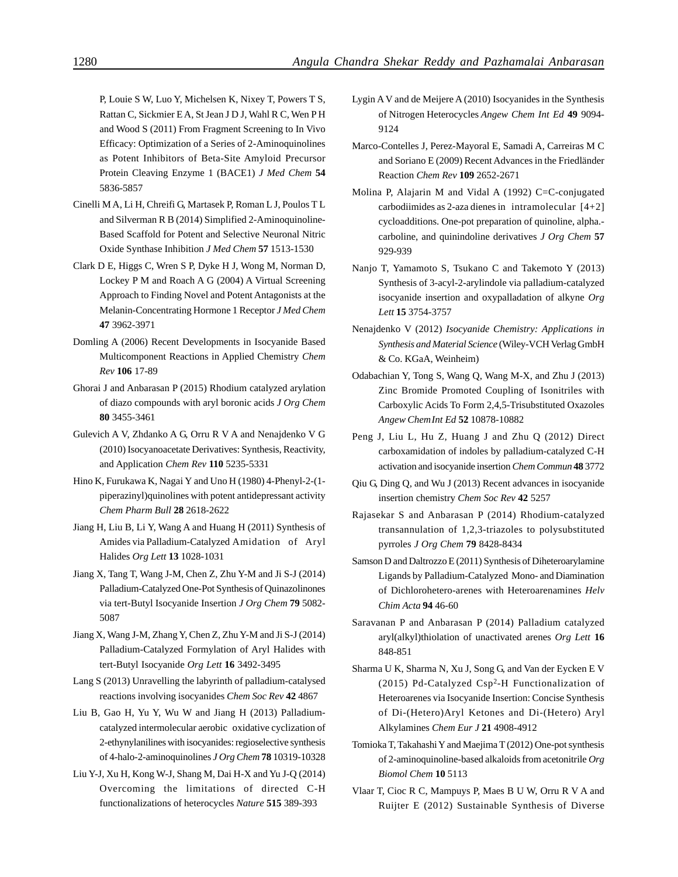P, Louie S W, Luo Y, Michelsen K, Nixey T, Powers T S, Rattan C, Sickmier E A, St Jean J D J, Wahl R C, Wen P H and Wood S (2011) From Fragment Screening to In Vivo Efficacy: Optimization of a Series of 2-Aminoquinolines as Potent Inhibitors of Beta-Site Amyloid Precursor Protein Cleaving Enzyme 1 (BACE1) *J Med Chem* **54** 5836-5857

- Cinelli M A, Li H, Chreifi G, Martasek P, Roman L J, Poulos T L and Silverman R B (2014) Simplified 2-Aminoquinoline-Based Scaffold for Potent and Selective Neuronal Nitric Oxide Synthase Inhibition *J Med Chem* **57** 1513-1530
- Clark D E, Higgs C, Wren S P, Dyke H J, Wong M, Norman D, Lockey P M and Roach A G (2004) A Virtual Screening Approach to Finding Novel and Potent Antagonists at the Melanin-Concentrating Hormone 1 Receptor *J Med Chem* **47** 3962-3971
- Domling A (2006) Recent Developments in Isocyanide Based Multicomponent Reactions in Applied Chemistry *Chem Rev* **106** 17-89
- Ghorai J and Anbarasan P (2015) Rhodium catalyzed arylation of diazo compounds with aryl boronic acids *J Org Chem* **80** 3455-3461
- Gulevich A V, Zhdanko A G, Orru R V A and Nenajdenko V G (2010) Isocyanoacetate Derivatives: Synthesis, Reactivity, and Application *Chem Rev* **110** 5235-5331
- Hino K, Furukawa K, Nagai Y and Uno H (1980) 4-Phenyl-2-(1 piperazinyl)quinolines with potent antidepressant activity *Chem Pharm Bull* **28** 2618-2622
- Jiang H, Liu B, Li Y, Wang A and Huang H (2011) Synthesis of Amides via Palladium-Catalyzed Amidation of Aryl Halides *Org Lett* **13** 1028-1031
- Jiang X, Tang T, Wang J-M, Chen Z, Zhu Y-M and Ji S-J (2014) Palladium-Catalyzed One-Pot Synthesis of Quinazolinones via tert-Butyl Isocyanide Insertion *J Org Chem* **79** 5082- 5087
- Jiang X, Wang J-M, Zhang Y, Chen Z, Zhu Y-M and Ji S-J (2014) Palladium-Catalyzed Formylation of Aryl Halides with tert-Butyl Isocyanide *Org Lett* **16** 3492-3495
- Lang S (2013) Unravelling the labyrinth of palladium-catalysed reactions involving isocyanides *Chem Soc Rev* **42** 4867
- Liu B, Gao H, Yu Y, Wu W and Jiang H (2013) Palladiumcatalyzed intermolecular aerobic oxidative cyclization of 2-ethynylanilines with isocyanides: regioselective synthesis of 4-halo-2-aminoquinolines *J Org Chem* **78** 10319-10328
- Liu Y-J, Xu H, Kong W-J, Shang M, Dai H-X and Yu J-Q (2014) Overcoming the limitations of directed C-H functionalizations of heterocycles *Nature* **515** 389-393
- Lygin A V and de Meijere A (2010) Isocyanides in the Synthesis of Nitrogen Heterocycles *Angew Chem Int Ed* **49** 9094- 9124
- Marco-Contelles J, Perez-Mayoral E, Samadi A, Carreiras M C and Soriano E (2009) Recent Advances in the Friedländer Reaction *Chem Rev* **109** 2652-2671
- Molina P, Alajarin M and Vidal A (1992) C=C-conjugated carbodiimides as 2-aza dienes in intramolecular [4+2] cycloadditions. One-pot preparation of quinoline, alpha. carboline, and quinindoline derivatives *J Org Chem* **57** 929-939
- Nanjo T, Yamamoto S, Tsukano C and Takemoto Y (2013) Synthesis of 3-acyl-2-arylindole via palladium-catalyzed isocyanide insertion and oxypalladation of alkyne *Org Lett* **15** 3754-3757
- Nenajdenko V (2012) *Isocyanide Chemistry: Applications in Synthesis and Material Science* (Wiley-VCH Verlag GmbH & Co. KGaA, Weinheim)
- Odabachian Y, Tong S, Wang Q, Wang M-X, and Zhu J (2013) Zinc Bromide Promoted Coupling of Isonitriles with Carboxylic Acids To Form 2,4,5-Trisubstituted Oxazoles *Angew ChemInt Ed* **52** 10878-10882
- Peng J, Liu L, Hu Z, Huang J and Zhu Q (2012) Direct carboxamidation of indoles by palladium-catalyzed C-H activation and isocyanide insertion *Chem Commun* **48** 3772
- Qiu G, Ding Q, and Wu J (2013) Recent advances in isocyanide insertion chemistry *Chem Soc Rev* **42** 5257
- Rajasekar S and Anbarasan P (2014) Rhodium-catalyzed transannulation of 1,2,3-triazoles to polysubstituted pyrroles *J Org Chem* **79** 8428-8434
- Samson D and Daltrozzo E (2011) Synthesis of Diheteroarylamine Ligands by Palladium-Catalyzed Mono- and Diamination of Dichlorohetero-arenes with Heteroarenamines *Helv Chim Acta* **94** 46-60
- Saravanan P and Anbarasan P (2014) Palladium catalyzed aryl(alkyl)thiolation of unactivated arenes *Org Lett* **16** 848-851
- Sharma U K, Sharma N, Xu J, Song G, and Van der Eycken E V (2015) Pd-Catalyzed Csp<sup>2</sup>-H Functionalization of Heteroarenes via Isocyanide Insertion: Concise Synthesis of Di-(Hetero)Aryl Ketones and Di-(Hetero) Aryl Alkylamines *Chem Eur J* **21** 4908-4912
- Tomioka T, Takahashi Y and Maejima T (2012) One-pot synthesis of 2-aminoquinoline-based alkaloids from acetonitrile *Org Biomol Chem* **10** 5113
- Vlaar T, Cioc R C, Mampuys P, Maes B U W, Orru R V A and Ruijter E (2012) Sustainable Synthesis of Diverse